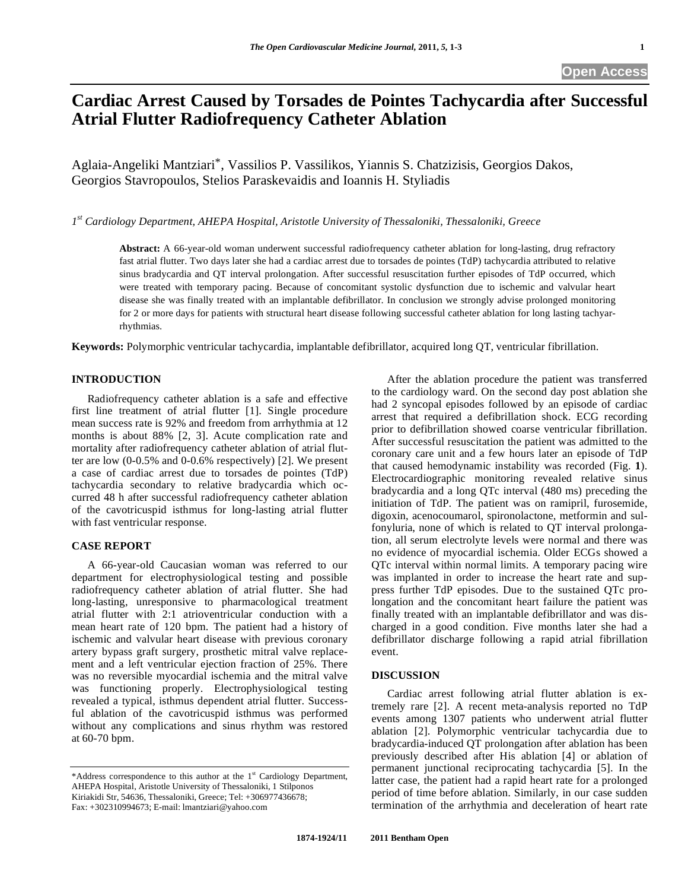# **Cardiac Arrest Caused by Torsades de Pointes Tachycardia after Successful Atrial Flutter Radiofrequency Catheter Ablation**

Aglaia-Angeliki Mantziari\*, Vassilios P. Vassilikos, Yiannis S. Chatzizisis, Georgios Dakos, Georgios Stavropoulos, Stelios Paraskevaidis and Ioannis H. Styliadis

*1st Cardiology Department, AHEPA Hospital, Aristotle University of Thessaloniki, Thessaloniki, Greece* 

**Abstract:** A 66-year-old woman underwent successful radiofrequency catheter ablation for long-lasting, drug refractory fast atrial flutter. Two days later she had a cardiac arrest due to torsades de pointes (TdP) tachycardia attributed to relative sinus bradycardia and QT interval prolongation. After successful resuscitation further episodes of TdP occurred, which were treated with temporary pacing. Because of concomitant systolic dysfunction due to ischemic and valvular heart disease she was finally treated with an implantable defibrillator. In conclusion we strongly advise prolonged monitoring for 2 or more days for patients with structural heart disease following successful catheter ablation for long lasting tachyarrhythmias.

**Keywords:** Polymorphic ventricular tachycardia, implantable defibrillator, acquired long QT, ventricular fibrillation.

## **INTRODUCTION**

 Radiofrequency catheter ablation is a safe and effective first line treatment of atrial flutter [1]. Single procedure mean success rate is 92% and freedom from arrhythmia at 12 months is about 88% [2, 3]. Acute complication rate and mortality after radiofrequency catheter ablation of atrial flutter are low (0-0.5% and 0-0.6% respectively) [2]. We present a case of cardiac arrest due to torsades de pointes (TdP) tachycardia secondary to relative bradycardia which occurred 48 h after successful radiofrequency catheter ablation of the cavotricuspid isthmus for long-lasting atrial flutter with fast ventricular response.

#### **CASE REPORT**

 A 66-year-old Caucasian woman was referred to our department for electrophysiological testing and possible radiofrequency catheter ablation of atrial flutter. She had long-lasting, unresponsive to pharmacological treatment atrial flutter with 2:1 atrioventricular conduction with a mean heart rate of 120 bpm. The patient had a history of ischemic and valvular heart disease with previous coronary artery bypass graft surgery, prosthetic mitral valve replacement and a left ventricular ejection fraction of 25%. There was no reversible myocardial ischemia and the mitral valve was functioning properly. Electrophysiological testing revealed a typical, isthmus dependent atrial flutter. Successful ablation of the cavotricuspid isthmus was performed without any complications and sinus rhythm was restored at 60-70 bpm.

 After the ablation procedure the patient was transferred to the cardiology ward. On the second day post ablation she had 2 syncopal episodes followed by an episode of cardiac arrest that required a defibrillation shock. ECG recording prior to defibrillation showed coarse ventricular fibrillation. After successful resuscitation the patient was admitted to the coronary care unit and a few hours later an episode of TdP that caused hemodynamic instability was recorded (Fig. **1**). Electrocardiographic monitoring revealed relative sinus bradycardia and a long QTc interval (480 ms) preceding the initiation of TdP. The patient was on ramipril, furosemide, digoxin, acenocoumarol, spironolactone, metformin and sulfonyluria, none of which is related to QT interval prolongation, all serum electrolyte levels were normal and there was no evidence of myocardial ischemia. Older ECGs showed a QTc interval within normal limits. A temporary pacing wire was implanted in order to increase the heart rate and suppress further TdP episodes. Due to the sustained QTc prolongation and the concomitant heart failure the patient was finally treated with an implantable defibrillator and was discharged in a good condition. Five months later she had a defibrillator discharge following a rapid atrial fibrillation event.

## **DISCUSSION**

 Cardiac arrest following atrial flutter ablation is extremely rare [2]. A recent meta-analysis reported no TdP events among 1307 patients who underwent atrial flutter ablation [2]. Polymorphic ventricular tachycardia due to bradycardia-induced QT prolongation after ablation has been previously described after His ablation [4] or ablation of permanent junctional reciprocating tachycardia [5]. In the latter case, the patient had a rapid heart rate for a prolonged period of time before ablation. Similarly, in our case sudden termination of the arrhythmia and deceleration of heart rate

<sup>\*</sup>Address correspondence to this author at the  $1<sup>st</sup>$  Cardiology Department, AHEPA Hospital, Aristotle University of Thessaloniki, 1 Stilponos Kiriakidi Str, 54636, Thessaloniki, Greece; Tel: +306977436678; Fax: +302310994673; E-mail: lmantziari@yahoo.com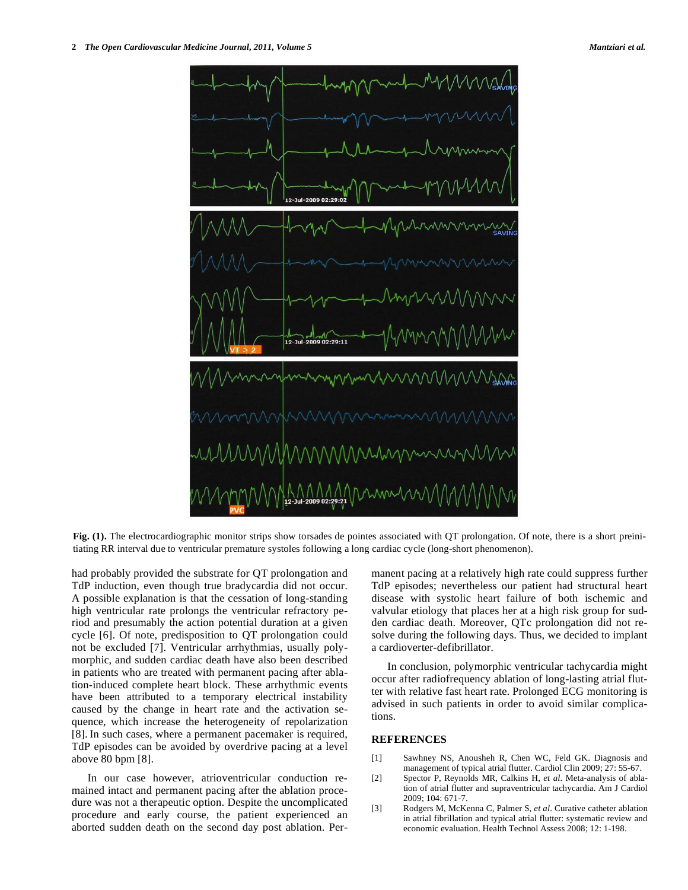

**Fig. (1).** The electrocardiographic monitor strips show torsades de pointes associated with QT prolongation. Of note, there is a short preinitiating RR interval due to ventricular premature systoles following a long cardiac cycle (long-short phenomenon).

had probably provided the substrate for QT prolongation and TdP induction, even though true bradycardia did not occur. A possible explanation is that the cessation of long-standing high ventricular rate prolongs the ventricular refractory period and presumably the action potential duration at a given cycle [6]. Of note, predisposition to QT prolongation could not be excluded [7]. Ventricular arrhythmias, usually polymorphic, and sudden cardiac death have also been described in patients who are treated with permanent pacing after ablation-induced complete heart block. These arrhythmic events have been attributed to a temporary electrical instability caused by the change in heart rate and the activation sequence, which increase the heterogeneity of repolarization [8]. In such cases, where a permanent pacemaker is required, TdP episodes can be avoided by overdrive pacing at a level above 80 bpm [8].

 In our case however, atrioventricular conduction remained intact and permanent pacing after the ablation procedure was not a therapeutic option. Despite the uncomplicated procedure and early course, the patient experienced an aborted sudden death on the second day post ablation. Permanent pacing at a relatively high rate could suppress further TdP episodes; nevertheless our patient had structural heart disease with systolic heart failure of both ischemic and valvular etiology that places her at a high risk group for sudden cardiac death. Moreover, QTc prolongation did not resolve during the following days. Thus, we decided to implant a cardioverter-defibrillator.

 In conclusion, polymorphic ventricular tachycardia might occur after radiofrequency ablation of long-lasting atrial flutter with relative fast heart rate. Prolonged ECG monitoring is advised in such patients in order to avoid similar complications.

### **REFERENCES**

- [1] Sawhney NS, Anousheh R, Chen WC, Feld GK. Diagnosis and management of typical atrial flutter. Cardiol Clin 2009; 27: 55-67.
- [2] Spector P, Reynolds MR, Calkins H, *et al*. Meta-analysis of ablation of atrial flutter and supraventricular tachycardia. Am J Cardiol 2009; 104: 671-7.
- [3] Rodgers M, McKenna C, Palmer S, *et al*. Curative catheter ablation in atrial fibrillation and typical atrial flutter: systematic review and economic evaluation. Health Technol Assess 2008; 12: 1-198.